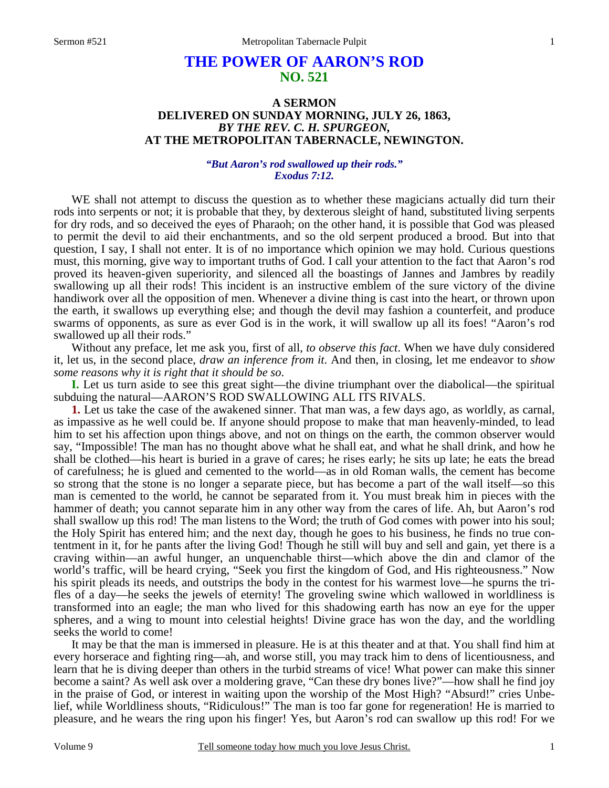# **THE POWER OF AARON'S ROD NO. 521**

### **A SERMON DELIVERED ON SUNDAY MORNING, JULY 26, 1863,**  *BY THE REV. C. H. SPURGEON,*  **AT THE METROPOLITAN TABERNACLE, NEWINGTON.**

### *"But Aaron's rod swallowed up their rods." Exodus 7:12.*

WE shall not attempt to discuss the question as to whether these magicians actually did turn their rods into serpents or not; it is probable that they, by dexterous sleight of hand, substituted living serpents for dry rods, and so deceived the eyes of Pharaoh; on the other hand, it is possible that God was pleased to permit the devil to aid their enchantments, and so the old serpent produced a brood. But into that question, I say, I shall not enter. It is of no importance which opinion we may hold. Curious questions must, this morning, give way to important truths of God. I call your attention to the fact that Aaron's rod proved its heaven-given superiority, and silenced all the boastings of Jannes and Jambres by readily swallowing up all their rods! This incident is an instructive emblem of the sure victory of the divine handiwork over all the opposition of men. Whenever a divine thing is cast into the heart, or thrown upon the earth, it swallows up everything else; and though the devil may fashion a counterfeit, and produce swarms of opponents, as sure as ever God is in the work, it will swallow up all its foes! "Aaron's rod swallowed up all their rods."

Without any preface, let me ask you, first of all, *to observe this fact*. When we have duly considered it, let us, in the second place, *draw an inference from it*. And then, in closing, let me endeavor to *show some reasons why it is right that it should be so*.

**I.** Let us turn aside to see this great sight—the divine triumphant over the diabolical—the spiritual subduing the natural—AARON'S ROD SWALLOWING ALL ITS RIVALS.

**1.** Let us take the case of the awakened sinner. That man was, a few days ago, as worldly, as carnal, as impassive as he well could be. If anyone should propose to make that man heavenly-minded, to lead him to set his affection upon things above, and not on things on the earth, the common observer would say, "Impossible! The man has no thought above what he shall eat, and what he shall drink, and how he shall be clothed—his heart is buried in a grave of cares; he rises early; he sits up late; he eats the bread of carefulness; he is glued and cemented to the world—as in old Roman walls, the cement has become so strong that the stone is no longer a separate piece, but has become a part of the wall itself—so this man is cemented to the world, he cannot be separated from it. You must break him in pieces with the hammer of death; you cannot separate him in any other way from the cares of life. Ah, but Aaron's rod shall swallow up this rod! The man listens to the Word; the truth of God comes with power into his soul; the Holy Spirit has entered him; and the next day, though he goes to his business, he finds no true contentment in it, for he pants after the living God! Though he still will buy and sell and gain, yet there is a craving within—an awful hunger, an unquenchable thirst—which above the din and clamor of the world's traffic, will be heard crying, "Seek you first the kingdom of God, and His righteousness." Now his spirit pleads its needs, and outstrips the body in the contest for his warmest love—he spurns the trifles of a day—he seeks the jewels of eternity! The groveling swine which wallowed in worldliness is transformed into an eagle; the man who lived for this shadowing earth has now an eye for the upper spheres, and a wing to mount into celestial heights! Divine grace has won the day, and the worldling seeks the world to come!

It may be that the man is immersed in pleasure. He is at this theater and at that. You shall find him at every horserace and fighting ring—ah, and worse still, you may track him to dens of licentiousness, and learn that he is diving deeper than others in the turbid streams of vice! What power can make this sinner become a saint? As well ask over a moldering grave, "Can these dry bones live?"—how shall he find joy in the praise of God, or interest in waiting upon the worship of the Most High? "Absurd!" cries Unbelief, while Worldliness shouts, "Ridiculous!" The man is too far gone for regeneration! He is married to pleasure, and he wears the ring upon his finger! Yes, but Aaron's rod can swallow up this rod! For we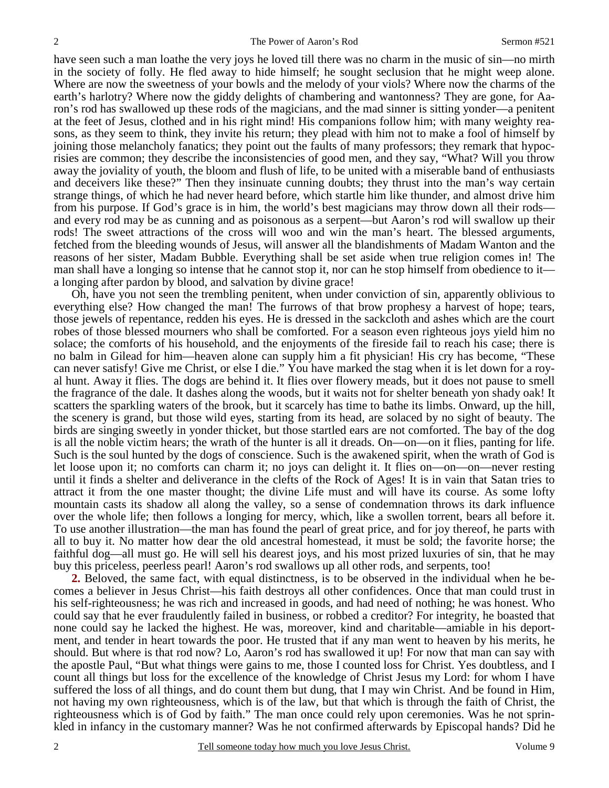have seen such a man loathe the very joys he loved till there was no charm in the music of sin—no mirth in the society of folly. He fled away to hide himself; he sought seclusion that he might weep alone. Where are now the sweetness of your bowls and the melody of your viols? Where now the charms of the earth's harlotry? Where now the giddy delights of chambering and wantonness? They are gone, for Aaron's rod has swallowed up these rods of the magicians, and the mad sinner is sitting yonder—a penitent at the feet of Jesus, clothed and in his right mind! His companions follow him; with many weighty reasons, as they seem to think, they invite his return; they plead with him not to make a fool of himself by joining those melancholy fanatics; they point out the faults of many professors; they remark that hypocrisies are common; they describe the inconsistencies of good men, and they say, "What? Will you throw away the joviality of youth, the bloom and flush of life, to be united with a miserable band of enthusiasts and deceivers like these?" Then they insinuate cunning doubts; they thrust into the man's way certain strange things, of which he had never heard before, which startle him like thunder, and almost drive him from his purpose. If God's grace is in him, the world's best magicians may throw down all their rods and every rod may be as cunning and as poisonous as a serpent—but Aaron's rod will swallow up their rods! The sweet attractions of the cross will woo and win the man's heart. The blessed arguments, fetched from the bleeding wounds of Jesus, will answer all the blandishments of Madam Wanton and the reasons of her sister, Madam Bubble. Everything shall be set aside when true religion comes in! The man shall have a longing so intense that he cannot stop it, nor can he stop himself from obedience to it a longing after pardon by blood, and salvation by divine grace!

Oh, have you not seen the trembling penitent, when under conviction of sin, apparently oblivious to everything else? How changed the man! The furrows of that brow prophesy a harvest of hope; tears, those jewels of repentance, redden his eyes. He is dressed in the sackcloth and ashes which are the court robes of those blessed mourners who shall be comforted. For a season even righteous joys yield him no solace; the comforts of his household, and the enjoyments of the fireside fail to reach his case; there is no balm in Gilead for him—heaven alone can supply him a fit physician! His cry has become, "These can never satisfy! Give me Christ, or else I die." You have marked the stag when it is let down for a royal hunt. Away it flies. The dogs are behind it. It flies over flowery meads, but it does not pause to smell the fragrance of the dale. It dashes along the woods, but it waits not for shelter beneath yon shady oak! It scatters the sparkling waters of the brook, but it scarcely has time to bathe its limbs. Onward, up the hill, the scenery is grand, but those wild eyes, starting from its head, are solaced by no sight of beauty. The birds are singing sweetly in yonder thicket, but those startled ears are not comforted. The bay of the dog is all the noble victim hears; the wrath of the hunter is all it dreads. On—on—on it flies, panting for life. Such is the soul hunted by the dogs of conscience. Such is the awakened spirit, when the wrath of God is let loose upon it; no comforts can charm it; no joys can delight it. It flies on—on—on—never resting until it finds a shelter and deliverance in the clefts of the Rock of Ages! It is in vain that Satan tries to attract it from the one master thought; the divine Life must and will have its course. As some lofty mountain casts its shadow all along the valley, so a sense of condemnation throws its dark influence over the whole life; then follows a longing for mercy, which, like a swollen torrent, bears all before it. To use another illustration—the man has found the pearl of great price, and for joy thereof, he parts with all to buy it. No matter how dear the old ancestral homestead, it must be sold; the favorite horse; the faithful dog—all must go. He will sell his dearest joys, and his most prized luxuries of sin, that he may buy this priceless, peerless pearl! Aaron's rod swallows up all other rods, and serpents, too!

**2.** Beloved, the same fact, with equal distinctness, is to be observed in the individual when he becomes a believer in Jesus Christ—his faith destroys all other confidences. Once that man could trust in his self-righteousness; he was rich and increased in goods, and had need of nothing; he was honest. Who could say that he ever fraudulently failed in business, or robbed a creditor? For integrity, he boasted that none could say he lacked the highest. He was, moreover, kind and charitable—amiable in his deportment, and tender in heart towards the poor. He trusted that if any man went to heaven by his merits, he should. But where is that rod now? Lo, Aaron's rod has swallowed it up! For now that man can say with the apostle Paul, "But what things were gains to me, those I counted loss for Christ. Yes doubtless, and I count all things but loss for the excellence of the knowledge of Christ Jesus my Lord: for whom I have suffered the loss of all things, and do count them but dung, that I may win Christ. And be found in Him, not having my own righteousness, which is of the law, but that which is through the faith of Christ, the righteousness which is of God by faith." The man once could rely upon ceremonies. Was he not sprinkled in infancy in the customary manner? Was he not confirmed afterwards by Episcopal hands? Did he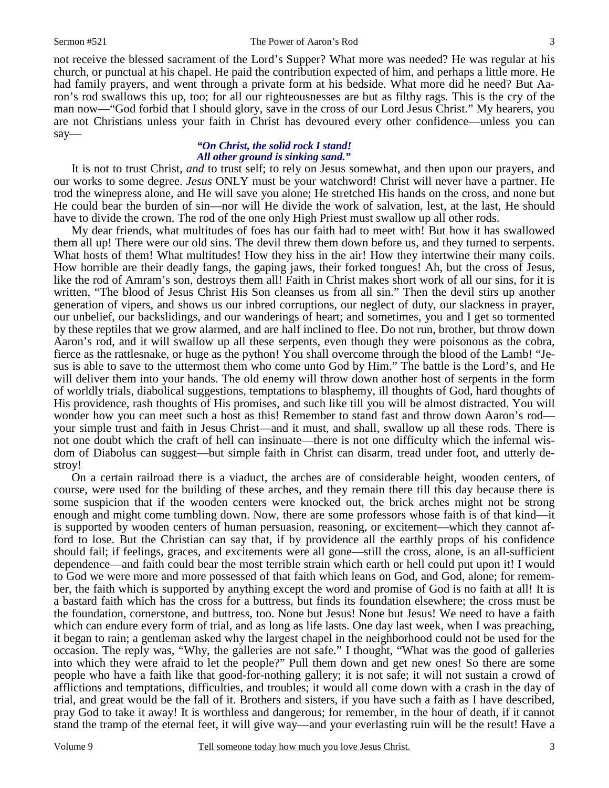not receive the blessed sacrament of the Lord's Supper? What more was needed? He was regular at his church, or punctual at his chapel. He paid the contribution expected of him, and perhaps a little more. He had family prayers, and went through a private form at his bedside. What more did he need? But Aaron's rod swallows this up, too; for all our righteousnesses are but as filthy rags. This is the cry of the man now—"God forbid that I should glory, save in the cross of our Lord Jesus Christ." My hearers, you are not Christians unless your faith in Christ has devoured every other confidence—unless you can say—

### *"On Christ, the solid rock I stand! All other ground is sinking sand."*

It is not to trust Christ, *and* to trust self; to rely on Jesus somewhat, and then upon our prayers, and our works to some degree. *Jesus* ONLY must be your watchword! Christ will never have a partner. He trod the winepress alone, and He will save you alone; He stretched His hands on the cross, and none but He could bear the burden of sin—nor will He divide the work of salvation, lest, at the last, He should have to divide the crown. The rod of the one only High Priest must swallow up all other rods.

My dear friends, what multitudes of foes has our faith had to meet with! But how it has swallowed them all up! There were our old sins. The devil threw them down before us, and they turned to serpents. What hosts of them! What multitudes! How they hiss in the air! How they intertwine their many coils. How horrible are their deadly fangs, the gaping jaws, their forked tongues! Ah, but the cross of Jesus, like the rod of Amram's son, destroys them all! Faith in Christ makes short work of all our sins, for it is written, "The blood of Jesus Christ His Son cleanses us from all sin." Then the devil stirs up another generation of vipers, and shows us our inbred corruptions, our neglect of duty, our slackness in prayer, our unbelief, our backslidings, and our wanderings of heart; and sometimes, you and I get so tormented by these reptiles that we grow alarmed, and are half inclined to flee. Do not run, brother, but throw down Aaron's rod, and it will swallow up all these serpents, even though they were poisonous as the cobra, fierce as the rattlesnake, or huge as the python! You shall overcome through the blood of the Lamb! "Jesus is able to save to the uttermost them who come unto God by Him." The battle is the Lord's, and He will deliver them into your hands. The old enemy will throw down another host of serpents in the form of worldly trials, diabolical suggestions, temptations to blasphemy, ill thoughts of God, hard thoughts of His providence, rash thoughts of His promises, and such like till you will be almost distracted. You will wonder how you can meet such a host as this! Remember to stand fast and throw down Aaron's rod your simple trust and faith in Jesus Christ—and it must, and shall, swallow up all these rods. There is not one doubt which the craft of hell can insinuate—there is not one difficulty which the infernal wisdom of Diabolus can suggest—but simple faith in Christ can disarm, tread under foot, and utterly destroy!

On a certain railroad there is a viaduct, the arches are of considerable height, wooden centers, of course, were used for the building of these arches, and they remain there till this day because there is some suspicion that if the wooden centers were knocked out, the brick arches might not be strong enough and might come tumbling down. Now, there are some professors whose faith is of that kind—it is supported by wooden centers of human persuasion, reasoning, or excitement—which they cannot afford to lose. But the Christian can say that, if by providence all the earthly props of his confidence should fail; if feelings, graces, and excitements were all gone—still the cross, alone, is an all-sufficient dependence—and faith could bear the most terrible strain which earth or hell could put upon it! I would to God we were more and more possessed of that faith which leans on God, and God, alone; for remember, the faith which is supported by anything except the word and promise of God is no faith at all! It is a bastard faith which has the cross for a buttress, but finds its foundation elsewhere; the cross must be the foundation, cornerstone, and buttress, too. None but Jesus! None but Jesus! We need to have a faith which can endure every form of trial, and as long as life lasts. One day last week, when I was preaching, it began to rain; a gentleman asked why the largest chapel in the neighborhood could not be used for the occasion. The reply was, "Why, the galleries are not safe." I thought, "What was the good of galleries into which they were afraid to let the people?" Pull them down and get new ones! So there are some people who have a faith like that good-for-nothing gallery; it is not safe; it will not sustain a crowd of afflictions and temptations, difficulties, and troubles; it would all come down with a crash in the day of trial, and great would be the fall of it. Brothers and sisters, if you have such a faith as I have described, pray God to take it away! It is worthless and dangerous; for remember, in the hour of death, if it cannot stand the tramp of the eternal feet, it will give way—and your everlasting ruin will be the result! Have a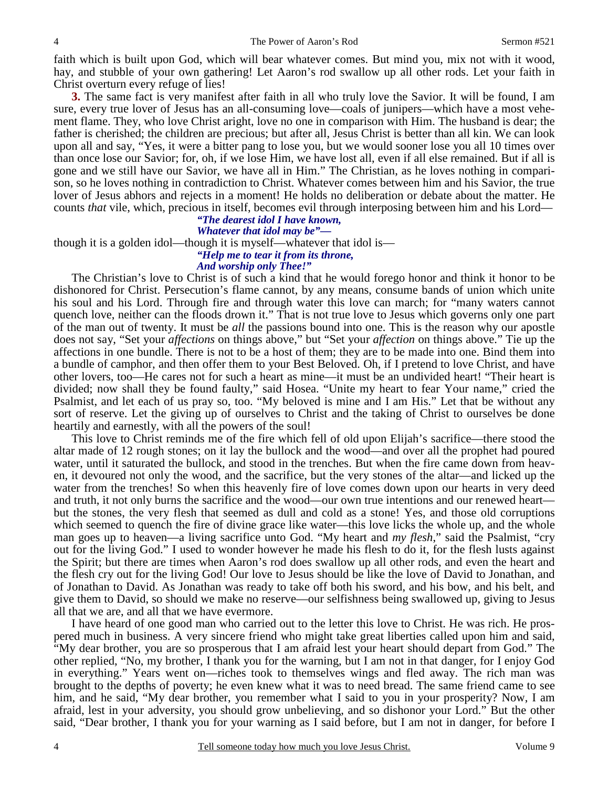faith which is built upon God, which will bear whatever comes. But mind you, mix not with it wood, hay, and stubble of your own gathering! Let Aaron's rod swallow up all other rods. Let your faith in Christ overturn every refuge of lies!

**3.** The same fact is very manifest after faith in all who truly love the Savior. It will be found, I am sure, every true lover of Jesus has an all-consuming love—coals of junipers—which have a most vehement flame. They, who love Christ aright, love no one in comparison with Him. The husband is dear; the father is cherished; the children are precious; but after all, Jesus Christ is better than all kin. We can look upon all and say, "Yes, it were a bitter pang to lose you, but we would sooner lose you all 10 times over than once lose our Savior; for, oh, if we lose Him, we have lost all, even if all else remained. But if all is gone and we still have our Savior, we have all in Him." The Christian, as he loves nothing in comparison, so he loves nothing in contradiction to Christ. Whatever comes between him and his Savior, the true lover of Jesus abhors and rejects in a moment! He holds no deliberation or debate about the matter. He counts *that* vile, which, precious in itself, becomes evil through interposing between him and his Lord—

# *"The dearest idol I have known,*

*Whatever that idol may be"—* 

though it is a golden idol—though it is myself—whatever that idol is—

### *"Help me to tear it from its throne,*

### *And worship only Thee!"*

The Christian's love to Christ is of such a kind that he would forego honor and think it honor to be dishonored for Christ. Persecution's flame cannot, by any means, consume bands of union which unite his soul and his Lord. Through fire and through water this love can march; for "many waters cannot quench love, neither can the floods drown it." That is not true love to Jesus which governs only one part of the man out of twenty. It must be *all* the passions bound into one. This is the reason why our apostle does not say, "Set your *affections* on things above," but "Set your *affection* on things above." Tie up the affections in one bundle. There is not to be a host of them; they are to be made into one. Bind them into a bundle of camphor, and then offer them to your Best Beloved. Oh, if I pretend to love Christ, and have other lovers, too—He cares not for such a heart as mine—it must be an undivided heart! "Their heart is divided; now shall they be found faulty," said Hosea. "Unite my heart to fear Your name," cried the Psalmist, and let each of us pray so, too. "My beloved is mine and I am His." Let that be without any sort of reserve. Let the giving up of ourselves to Christ and the taking of Christ to ourselves be done heartily and earnestly, with all the powers of the soul!

This love to Christ reminds me of the fire which fell of old upon Elijah's sacrifice—there stood the altar made of 12 rough stones; on it lay the bullock and the wood—and over all the prophet had poured water, until it saturated the bullock, and stood in the trenches. But when the fire came down from heaven, it devoured not only the wood, and the sacrifice, but the very stones of the altar—and licked up the water from the trenches! So when this heavenly fire of love comes down upon our hearts in very deed and truth, it not only burns the sacrifice and the wood—our own true intentions and our renewed heart but the stones, the very flesh that seemed as dull and cold as a stone! Yes, and those old corruptions which seemed to quench the fire of divine grace like water—this love licks the whole up, and the whole man goes up to heaven—a living sacrifice unto God. "My heart and *my flesh*," said the Psalmist, "cry out for the living God." I used to wonder however he made his flesh to do it, for the flesh lusts against the Spirit; but there are times when Aaron's rod does swallow up all other rods, and even the heart and the flesh cry out for the living God! Our love to Jesus should be like the love of David to Jonathan, and of Jonathan to David. As Jonathan was ready to take off both his sword, and his bow, and his belt, and give them to David, so should we make no reserve—our selfishness being swallowed up, giving to Jesus all that we are, and all that we have evermore.

I have heard of one good man who carried out to the letter this love to Christ. He was rich. He prospered much in business. A very sincere friend who might take great liberties called upon him and said, "My dear brother, you are so prosperous that I am afraid lest your heart should depart from God." The other replied, "No, my brother, I thank you for the warning, but I am not in that danger, for I enjoy God in everything." Years went on—riches took to themselves wings and fled away. The rich man was brought to the depths of poverty; he even knew what it was to need bread. The same friend came to see him, and he said, "My dear brother, you remember what I said to you in your prosperity? Now, I am afraid, lest in your adversity, you should grow unbelieving, and so dishonor your Lord." But the other said, "Dear brother, I thank you for your warning as I said before, but I am not in danger, for before I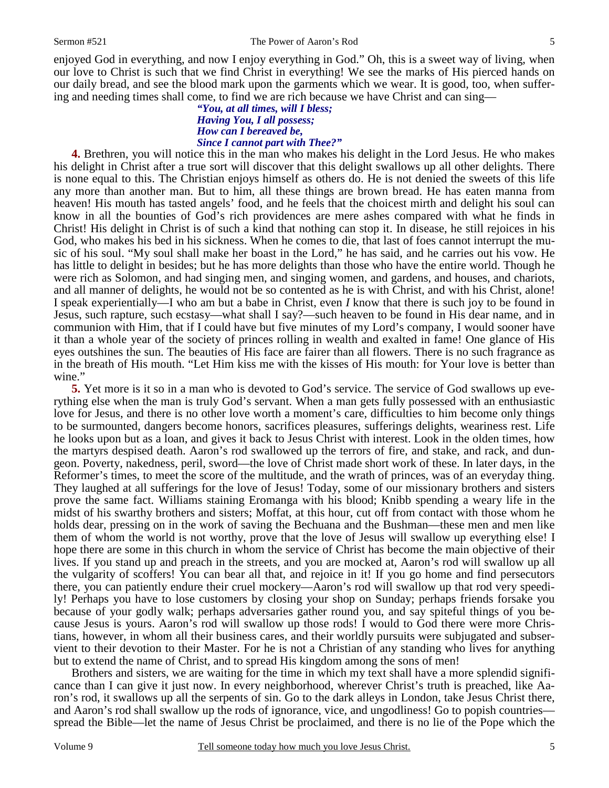enjoyed God in everything, and now I enjoy everything in God." Oh, this is a sweet way of living, when our love to Christ is such that we find Christ in everything! We see the marks of His pierced hands on our daily bread, and see the blood mark upon the garments which we wear. It is good, too, when suffering and needing times shall come, to find we are rich because we have Christ and can sing—

### *"You, at all times, will I bless; Having You, I all possess; How can I bereaved be, Since I cannot part with Thee?"*

**4.** Brethren, you will notice this in the man who makes his delight in the Lord Jesus. He who makes his delight in Christ after a true sort will discover that this delight swallows up all other delights. There is none equal to this. The Christian enjoys himself as others do. He is not denied the sweets of this life any more than another man. But to him, all these things are brown bread. He has eaten manna from heaven! His mouth has tasted angels' food, and he feels that the choicest mirth and delight his soul can know in all the bounties of God's rich providences are mere ashes compared with what he finds in Christ! His delight in Christ is of such a kind that nothing can stop it. In disease, he still rejoices in his God, who makes his bed in his sickness. When he comes to die, that last of foes cannot interrupt the music of his soul. "My soul shall make her boast in the Lord," he has said, and he carries out his vow. He has little to delight in besides; but he has more delights than those who have the entire world. Though he were rich as Solomon, and had singing men, and singing women, and gardens, and houses, and chariots, and all manner of delights, he would not be so contented as he is with Christ, and with his Christ, alone! I speak experientially—I who am but a babe in Christ, even *I* know that there is such joy to be found in Jesus, such rapture, such ecstasy—what shall I say?—such heaven to be found in His dear name, and in communion with Him, that if I could have but five minutes of my Lord's company, I would sooner have it than a whole year of the society of princes rolling in wealth and exalted in fame! One glance of His eyes outshines the sun. The beauties of His face are fairer than all flowers. There is no such fragrance as in the breath of His mouth. "Let Him kiss me with the kisses of His mouth: for Your love is better than wine."

**5.** Yet more is it so in a man who is devoted to God's service. The service of God swallows up everything else when the man is truly God's servant. When a man gets fully possessed with an enthusiastic love for Jesus, and there is no other love worth a moment's care, difficulties to him become only things to be surmounted, dangers become honors, sacrifices pleasures, sufferings delights, weariness rest. Life he looks upon but as a loan, and gives it back to Jesus Christ with interest. Look in the olden times, how the martyrs despised death. Aaron's rod swallowed up the terrors of fire, and stake, and rack, and dungeon. Poverty, nakedness, peril, sword—the love of Christ made short work of these. In later days, in the Reformer's times, to meet the score of the multitude, and the wrath of princes, was of an everyday thing. They laughed at all sufferings for the love of Jesus! Today, some of our missionary brothers and sisters prove the same fact. Williams staining Eromanga with his blood; Knibb spending a weary life in the midst of his swarthy brothers and sisters; Moffat, at this hour, cut off from contact with those whom he holds dear, pressing on in the work of saving the Bechuana and the Bushman—these men and men like them of whom the world is not worthy, prove that the love of Jesus will swallow up everything else! I hope there are some in this church in whom the service of Christ has become the main objective of their lives. If you stand up and preach in the streets, and you are mocked at, Aaron's rod will swallow up all the vulgarity of scoffers! You can bear all that, and rejoice in it! If you go home and find persecutors there, you can patiently endure their cruel mockery—Aaron's rod will swallow up that rod very speedily! Perhaps you have to lose customers by closing your shop on Sunday; perhaps friends forsake you because of your godly walk; perhaps adversaries gather round you, and say spiteful things of you because Jesus is yours. Aaron's rod will swallow up those rods! I would to God there were more Christians, however, in whom all their business cares, and their worldly pursuits were subjugated and subservient to their devotion to their Master. For he is not a Christian of any standing who lives for anything but to extend the name of Christ, and to spread His kingdom among the sons of men!

Brothers and sisters, we are waiting for the time in which my text shall have a more splendid significance than I can give it just now. In every neighborhood, wherever Christ's truth is preached, like Aaron's rod, it swallows up all the serpents of sin. Go to the dark alleys in London, take Jesus Christ there, and Aaron's rod shall swallow up the rods of ignorance, vice, and ungodliness! Go to popish countries spread the Bible—let the name of Jesus Christ be proclaimed, and there is no lie of the Pope which the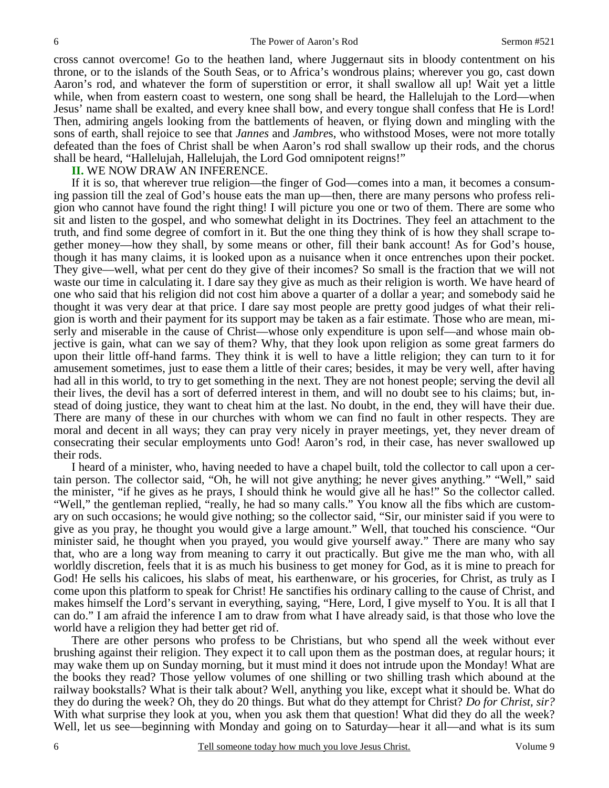cross cannot overcome! Go to the heathen land, where Juggernaut sits in bloody contentment on his throne, or to the islands of the South Seas, or to Africa's wondrous plains; wherever you go, cast down Aaron's rod, and whatever the form of superstition or error, it shall swallow all up! Wait yet a little while, when from eastern coast to western, one song shall be heard, the Hallelujah to the Lord—when Jesus' name shall be exalted, and every knee shall bow, and every tongue shall confess that He is Lord! Then, admiring angels looking from the battlements of heaven, or flying down and mingling with the sons of earth, shall rejoice to see that *Jannes* and *Jambre*s, who withstood Moses, were not more totally defeated than the foes of Christ shall be when Aaron's rod shall swallow up their rods, and the chorus shall be heard, "Hallelujah, Hallelujah, the Lord God omnipotent reigns!"

**II.** WE NOW DRAW AN INFERENCE.

6

If it is so, that wherever true religion—the finger of God—comes into a man, it becomes a consuming passion till the zeal of God's house eats the man up—then, there are many persons who profess religion who cannot have found the right thing! I will picture you one or two of them. There are some who sit and listen to the gospel, and who somewhat delight in its Doctrines. They feel an attachment to the truth, and find some degree of comfort in it. But the one thing they think of is how they shall scrape together money—how they shall, by some means or other, fill their bank account! As for God's house, though it has many claims, it is looked upon as a nuisance when it once entrenches upon their pocket. They give—well, what per cent do they give of their incomes? So small is the fraction that we will not waste our time in calculating it. I dare say they give as much as their religion is worth. We have heard of one who said that his religion did not cost him above a quarter of a dollar a year; and somebody said he thought it was very dear at that price. I dare say most people are pretty good judges of what their religion is worth and their payment for its support may be taken as a fair estimate. Those who are mean, miserly and miserable in the cause of Christ—whose only expenditure is upon self—and whose main objective is gain, what can we say of them? Why, that they look upon religion as some great farmers do upon their little off-hand farms. They think it is well to have a little religion; they can turn to it for amusement sometimes, just to ease them a little of their cares; besides, it may be very well, after having had all in this world, to try to get something in the next. They are not honest people; serving the devil all their lives, the devil has a sort of deferred interest in them, and will no doubt see to his claims; but, instead of doing justice, they want to cheat him at the last. No doubt, in the end, they will have their due. There are many of these in our churches with whom we can find no fault in other respects. They are moral and decent in all ways; they can pray very nicely in prayer meetings, yet, they never dream of consecrating their secular employments unto God! Aaron's rod, in their case, has never swallowed up their rods.

I heard of a minister, who, having needed to have a chapel built, told the collector to call upon a certain person. The collector said, "Oh, he will not give anything; he never gives anything." "Well," said the minister, "if he gives as he prays, I should think he would give all he has!" So the collector called. "Well," the gentleman replied, "really, he had so many calls." You know all the fibs which are customary on such occasions; he would give nothing; so the collector said, "Sir, our minister said if you were to give as you pray, he thought you would give a large amount." Well, that touched his conscience. "Our minister said, he thought when you prayed, you would give yourself away." There are many who say that, who are a long way from meaning to carry it out practically. But give me the man who, with all worldly discretion, feels that it is as much his business to get money for God, as it is mine to preach for God! He sells his calicoes, his slabs of meat, his earthenware, or his groceries, for Christ, as truly as I come upon this platform to speak for Christ! He sanctifies his ordinary calling to the cause of Christ, and makes himself the Lord's servant in everything, saying, "Here, Lord, I give myself to You. It is all that I can do." I am afraid the inference I am to draw from what I have already said, is that those who love the world have a religion they had better get rid of.

There are other persons who profess to be Christians, but who spend all the week without ever brushing against their religion. They expect it to call upon them as the postman does, at regular hours; it may wake them up on Sunday morning, but it must mind it does not intrude upon the Monday! What are the books they read? Those yellow volumes of one shilling or two shilling trash which abound at the railway bookstalls? What is their talk about? Well, anything you like, except what it should be. What do they do during the week? Oh, they do 20 things. But what do they attempt for Christ? *Do for Christ, sir?* With what surprise they look at you, when you ask them that question! What did they do all the week? Well, let us see—beginning with Monday and going on to Saturday—hear it all—and what is its sum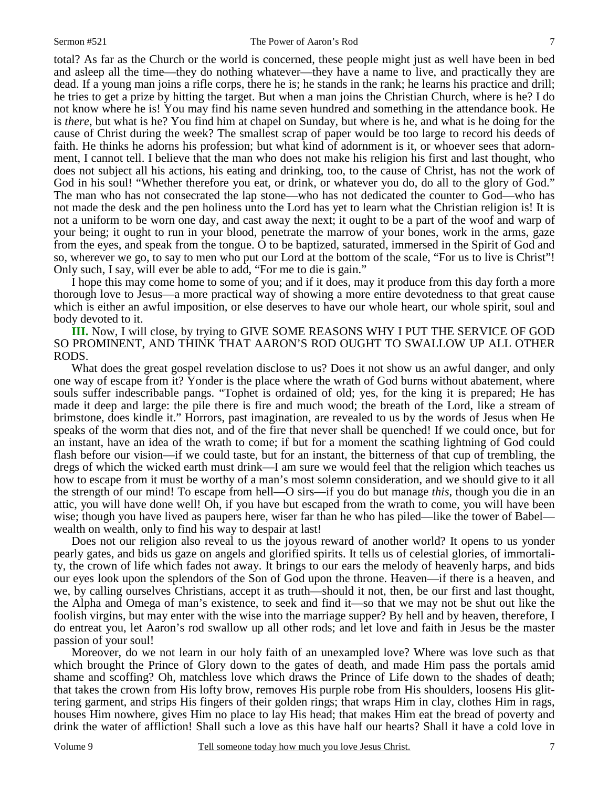7

total? As far as the Church or the world is concerned, these people might just as well have been in bed and asleep all the time—they do nothing whatever—they have a name to live, and practically they are dead. If a young man joins a rifle corps, there he is; he stands in the rank; he learns his practice and drill; he tries to get a prize by hitting the target. But when a man joins the Christian Church, where is he? I do not know where he is! You may find his name seven hundred and something in the attendance book. He is *there*, but what is he? You find him at chapel on Sunday, but where is he, and what is he doing for the cause of Christ during the week? The smallest scrap of paper would be too large to record his deeds of faith. He thinks he adorns his profession; but what kind of adornment is it, or whoever sees that adornment, I cannot tell. I believe that the man who does not make his religion his first and last thought, who does not subject all his actions, his eating and drinking, too, to the cause of Christ, has not the work of God in his soul! "Whether therefore you eat, or drink, or whatever you do, do all to the glory of God." The man who has not consecrated the lap stone—who has not dedicated the counter to God—who has not made the desk and the pen holiness unto the Lord has yet to learn what the Christian religion is! It is not a uniform to be worn one day, and cast away the next; it ought to be a part of the woof and warp of your being; it ought to run in your blood, penetrate the marrow of your bones, work in the arms, gaze from the eyes, and speak from the tongue. O to be baptized, saturated, immersed in the Spirit of God and so, wherever we go, to say to men who put our Lord at the bottom of the scale, "For us to live is Christ"! Only such, I say, will ever be able to add, "For me to die is gain."

I hope this may come home to some of you; and if it does, may it produce from this day forth a more thorough love to Jesus—a more practical way of showing a more entire devotedness to that great cause which is either an awful imposition, or else deserves to have our whole heart, our whole spirit, soul and body devoted to it.

**III.** Now, I will close, by trying to GIVE SOME REASONS WHY I PUT THE SERVICE OF GOD SO PROMINENT, AND THINK THAT AARON'S ROD OUGHT TO SWALLOW UP ALL OTHER RODS.

What does the great gospel revelation disclose to us? Does it not show us an awful danger, and only one way of escape from it? Yonder is the place where the wrath of God burns without abatement, where souls suffer indescribable pangs. "Tophet is ordained of old; yes, for the king it is prepared; He has made it deep and large: the pile there is fire and much wood; the breath of the Lord, like a stream of brimstone, does kindle it." Horrors, past imagination, are revealed to us by the words of Jesus when He speaks of the worm that dies not, and of the fire that never shall be quenched! If we could once, but for an instant, have an idea of the wrath to come; if but for a moment the scathing lightning of God could flash before our vision—if we could taste, but for an instant, the bitterness of that cup of trembling, the dregs of which the wicked earth must drink—I am sure we would feel that the religion which teaches us how to escape from it must be worthy of a man's most solemn consideration, and we should give to it all the strength of our mind! To escape from hell—O sirs—if you do but manage *this*, though you die in an attic, you will have done well! Oh, if you have but escaped from the wrath to come, you will have been wise; though you have lived as paupers here, wiser far than he who has piled—like the tower of Babel wealth on wealth, only to find his way to despair at last!

Does not our religion also reveal to us the joyous reward of another world? It opens to us yonder pearly gates, and bids us gaze on angels and glorified spirits. It tells us of celestial glories, of immortality, the crown of life which fades not away. It brings to our ears the melody of heavenly harps, and bids our eyes look upon the splendors of the Son of God upon the throne. Heaven—if there is a heaven, and we, by calling ourselves Christians, accept it as truth—should it not, then, be our first and last thought, the Alpha and Omega of man's existence, to seek and find it—so that we may not be shut out like the foolish virgins, but may enter with the wise into the marriage supper? By hell and by heaven, therefore, I do entreat you, let Aaron's rod swallow up all other rods; and let love and faith in Jesus be the master passion of your soul!

Moreover, do we not learn in our holy faith of an unexampled love? Where was love such as that which brought the Prince of Glory down to the gates of death, and made Him pass the portals amid shame and scoffing? Oh, matchless love which draws the Prince of Life down to the shades of death; that takes the crown from His lofty brow, removes His purple robe from His shoulders, loosens His glittering garment, and strips His fingers of their golden rings; that wraps Him in clay, clothes Him in rags, houses Him nowhere, gives Him no place to lay His head; that makes Him eat the bread of poverty and drink the water of affliction! Shall such a love as this have half our hearts? Shall it have a cold love in